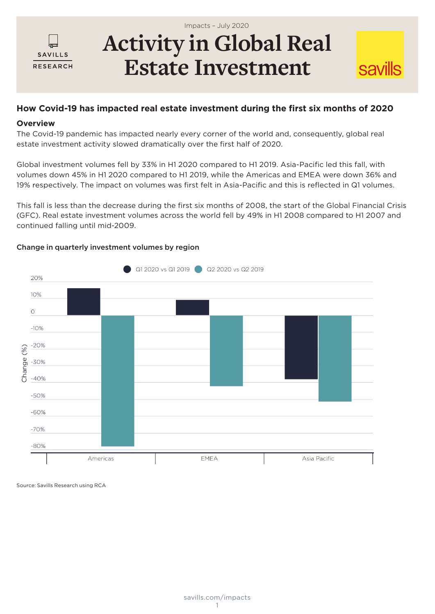

# **Activity in Global Real**  Impacts – July 2020

# **Estate Investment**

**savills** 

### **How Covid-19 has impacted real estate investment during the first six months of 2020**

#### **Overview**

The Covid-19 pandemic has impacted nearly every corner of the world and, consequently, global real estate investment activity slowed dramatically over the first half of 2020.

Global investment volumes fell by 33% in H1 2020 compared to H1 2019. Asia-Pacific led this fall, with volumes down 45% in H1 2020 compared to H1 2019, while the Americas and EMEA were down 36% and 19% respectively. The impact on volumes was first felt in Asia-Pacific and this is reflected in Q1 volumes.

This fall is less than the decrease during the first six months of 2008, the start of the Global Financial Crisis (GFC). Real estate investment volumes across the world fell by 49% in H1 2008 compared to H1 2007 and continued falling until mid-2009.



#### Change in quarterly investment volumes by region

Source: Savills Research using RCA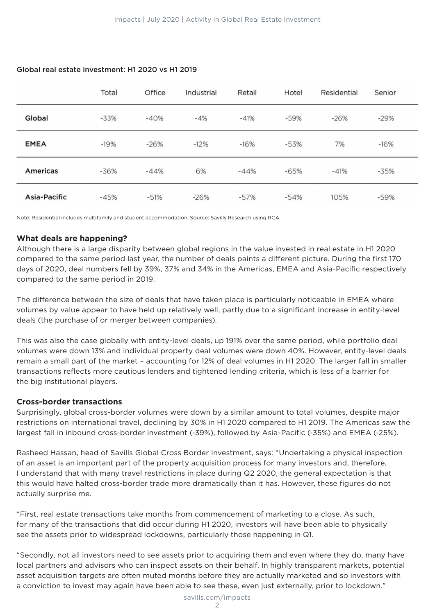|                 | Total  | Office | Industrial | Retail | Hotel  | <b>Residential</b> | Senior |  |
|-----------------|--------|--------|------------|--------|--------|--------------------|--------|--|
| Global          | $-33%$ | $-40%$ | $-4%$      | $-41%$ | $-59%$ | $-26%$             | $-29%$ |  |
| <b>EMEA</b>     | $-19%$ | $-26%$ | $-12%$     | $-16%$ | $-53%$ | 7%                 | $-16%$ |  |
| <b>Americas</b> | $-36%$ | $-44%$ | 6%         | $-44%$ | $-65%$ | $-41%$             | $-35%$ |  |
| Asia-Pacific    | $-45%$ | $-51%$ | $-26%$     | $-57%$ | $-54%$ | 105%               | $-59%$ |  |

#### Global real estate investment: H1 2020 vs H1 2019

Note: Residential includes multifamily and student accommodation. Source: Savills Research using RCA

#### **What deals are happening?**

Although there is a large disparity between global regions in the value invested in real estate in H1 2020 compared to the same period last year, the number of deals paints a different picture. During the first 170 days of 2020, deal numbers fell by 39%, 37% and 34% in the Americas, EMEA and Asia-Pacific respectively compared to the same period in 2019.

The difference between the size of deals that have taken place is particularly noticeable in EMEA where volumes by value appear to have held up relatively well, partly due to a significant increase in entity-level deals (the purchase of or merger between companies).

This was also the case globally with entity-level deals, up 191% over the same period, while portfolio deal volumes were down 13% and individual property deal volumes were down 40%. However, entity-level deals remain a small part of the market – accounting for 12% of deal volumes in H1 2020. The larger fall in smaller transactions reflects more cautious lenders and tightened lending criteria, which is less of a barrier for the big institutional players.

#### **Cross-border transactions**

Surprisingly, global cross-border volumes were down by a similar amount to total volumes, despite major restrictions on international travel, declining by 30% in H1 2020 compared to H1 2019. The Americas saw the largest fall in inbound cross-border investment (-39%), followed by Asia-Pacific (-35%) and EMEA (-25%).

Rasheed Hassan, head of Savills Global Cross Border Investment, says: "Undertaking a physical inspection of an asset is an important part of the property acquisition process for many investors and, therefore, I understand that with many travel restrictions in place during Q2 2020, the general expectation is that this would have halted cross-border trade more dramatically than it has. However, these figures do not actually surprise me.

"First, real estate transactions take months from commencement of marketing to a close. As such, for many of the transactions that did occur during H1 2020, investors will have been able to physically see the assets prior to widespread lockdowns, particularly those happening in Q1.

"Secondly, not all investors need to see assets prior to acquiring them and even where they do, many have local partners and advisors who can inspect assets on their behalf. In highly transparent markets, potential asset acquisition targets are often muted months before they are actually marketed and so investors with a conviction to invest may again have been able to see these, even just externally, prior to lockdown."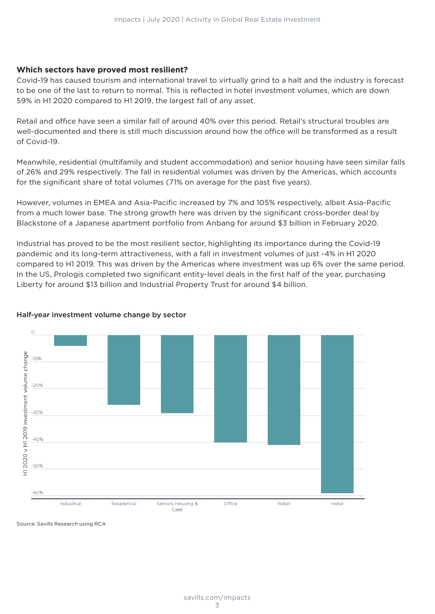#### **Which sectors have proved most resilient?**

Covid-19 has caused tourism and international travel to virtually grind to a halt and the industry is forecast to be one of the last to return to normal. This is reflected in hotel investment volumes, which are down 59% in H1 2020 compared to H1 2019, the largest fall of any asset.

Retail and office have seen a similar fall of around 40% over this period. Retail's structural troubles are well-documented and there is still much discussion around how the office will be transformed as a result of Covid-19.

Meanwhile, residential (multifamily and student accommodation) and senior housing have seen similar falls of 26% and 29% respectively. The fall in residential volumes was driven by the Americas, which accounts for the significant share of total volumes (71% on average for the past five years).

However, volumes in EMEA and Asia-Pacific increased by 7% and 105% respectively, albeit Asia-Pacific from a much lower base. The strong growth here was driven by the significant cross-border deal by Blackstone of a Japanese apartment portfolio from Anbang for around \$3 billion in February 2020.

Industrial has proved to be the most resilient sector, highlighting its importance during the Covid-19 pandemic and its long-term attractiveness, with a fall in investment volumes of just -4% in H1 2020 compared to H1 2019. This was driven by the Americas where investment was up 6% over the same period. In the US, Prologis completed two significant entity-level deals in the first half of the year, purchasing Liberty for around \$13 billion and Industrial Property Trust for around \$4 billion.



#### Half-year investment volume change by sector

Source: Savills Research using RCA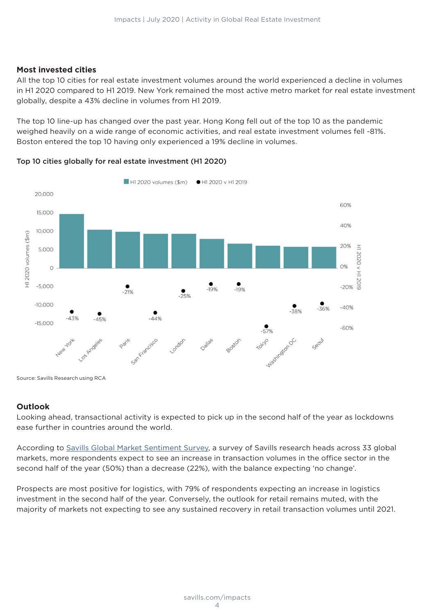#### **Most invested cities**

All the top 10 cities for real estate investment volumes around the world experienced a decline in volumes in H1 2020 compared to H1 2019. New York remained the most active metro market for real estate investment globally, despite a 43% decline in volumes from H1 2019.

The top 10 line-up has changed over the past year. Hong Kong fell out of the top 10 as the pandemic weighed heavily on a wide range of economic activities, and real estate investment volumes fell -81%. Boston entered the top 10 having only experienced a 19% decline in volumes.





Source: Savills Research using RCA

#### **Outlook**

Looking ahead, transactional activity is expected to pick up in the second half of the year as lockdowns ease further in countries around the world.

According to Savills Global Market Sentiment Survey, a survey of Savills research heads across 33 global markets, more respondents expect to see an increase in transaction volumes in the office sector in the second half of the year (50%) than a decrease (22%), with the balance expecting 'no change'.

Prospects are most positive for logistics, with 79% of respondents expecting an increase in logistics investment in the second half of the year. Conversely, the outlook for retail remains muted, with the majority of markets not expecting to see any sustained recovery in retail transaction volumes until 2021.